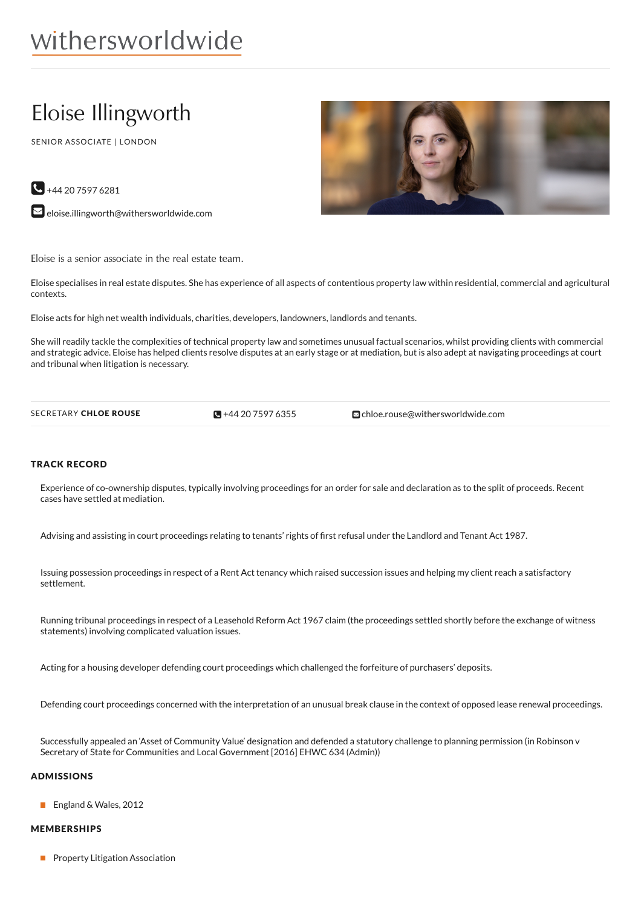# withersworldwide

# Eloise Illingworth

SENIOR ASSOCIATE | LONDON



 $\bigodot$  +44 20 7597 6281

 $\blacktriangleright$  [eloise.illingworth@withersworldwide.com](mailto:eloise.illingworth@withersworldwide.com?subject=Website Enquiry - Profile Page)

Eloise is a senior associate in the real estate team.

Eloise specialises in real estate disputes. She has experience of all aspects of contentious property law within residential, commercial and agricultural contexts.

Eloise acts for high net wealth individuals, charities, developers, landowners, landlords and tenants.

She will readily tackle the complexities of technical property law and sometimes unusual factual scenarios, whilst providing clients with commercial and strategic advice. Eloise has helped clients resolve disputes at an early stage or at mediation, but is also adept at navigating proceedings at court and tribunal when litigation is necessary.

 $\bigodot +442075976355$ 

SECRETARY CHLOE ROUSE **a** +44 20 [7597](tel:+44 20 7597 6355) 6355 [chloe.rouse@withersworldwide.com](mailto:chloe.rouse@withersworldwide.com)

#### TRACK RECORD

Experience of co-ownership disputes, typically involving proceedings for an order for sale and declaration as to the split of proceeds. Recent cases have settled at mediation.

Advising and assisting in court proceedings relating to tenants' rights of first refusal under the Landlord and Tenant Act 1987.

Issuing possession proceedings in respect of a Rent Act tenancy which raised succession issues and helping my client reach a satisfactory settlement.

Running tribunal proceedings in respect of a Leasehold Reform Act 1967 claim (the proceedings settled shortly before the exchange of witness statements) involving complicated valuation issues.

Acting for a housing developer defending court proceedings which challenged the forfeiture of purchasers' deposits.

Defending court proceedings concerned with the interpretation of an unusual break clause in the context of opposed lease renewal proceedings.

Successfully appealed an 'Asset of Community Value' designation and defended a statutory challenge to planning permission (in Robinson v Secretary of State for Communities and Local Government [2016] EHWC 634 (Admin))

#### ADMISSIONS

■ England & Wales, 2012

#### MEMBERSHIPS

**Property Litigation Association**